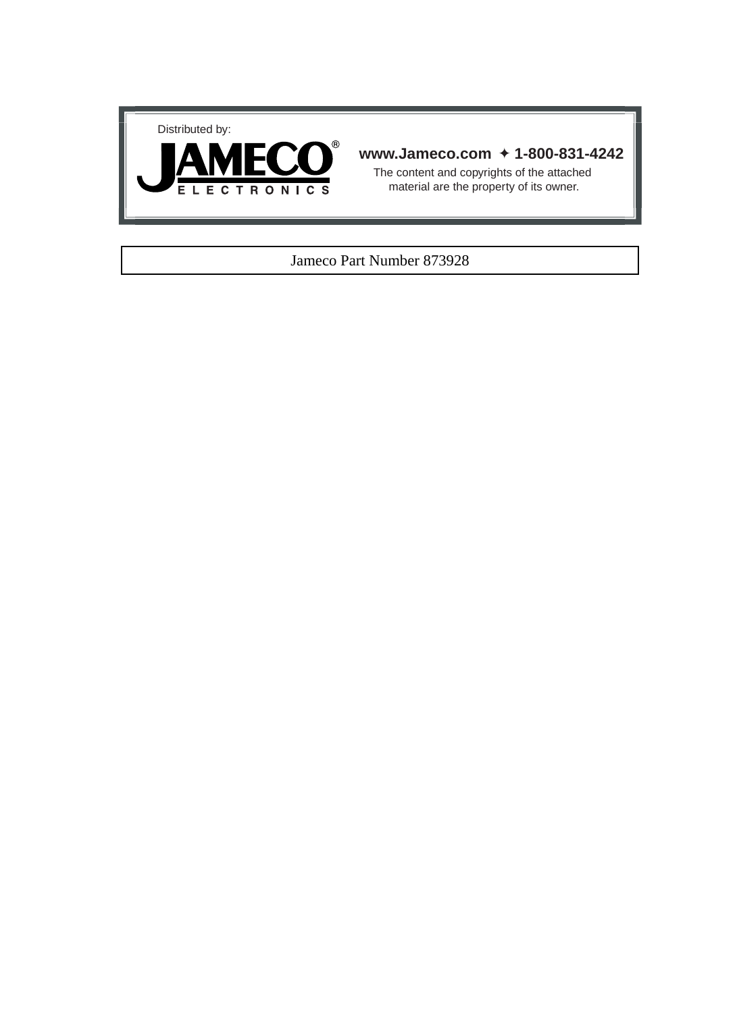



## **www.Jameco.com** ✦ **1-800-831-4242**

The content and copyrights of the attached material are the property of its owner.

#### Jameco Part Number 873928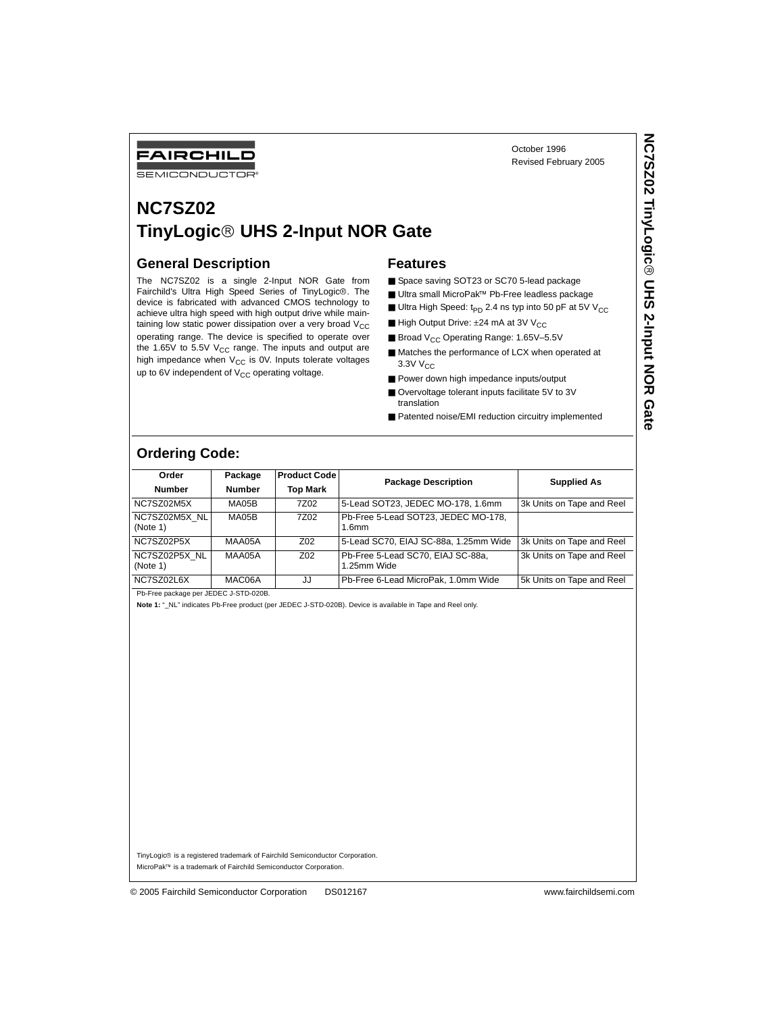FAIRCHILD

SEMICONDUCTOR

## **NC7SZ02 TinyLogic UHS 2-Input NOR Gate**

#### **General Description**

The NC7SZ02 is a single 2-Input NOR Gate from Fairchild's Ultra High Speed Series of TinyLogic<sup>®</sup>. The device is fabricated with advanced CMOS technology to achieve ultra high speed with high output drive while maintaining low static power dissipation over a very broad  $V_{CC}$ operating range. The device is specified to operate over the 1.65V to 5.5V  $V_{CC}$  range. The inputs and output are high impedance when  $V_{CC}$  is 0V. Inputs tolerate voltages up to 6V independent of  $V_{CC}$  operating voltage.

#### **Features**

- Space saving SOT23 or SC70 5-lead package
- Ultra small MicroPak<sup>™</sup> Pb-Free leadless package
- Ultra High Speed:  $t_{PD}$  2.4 ns typ into 50 pF at 5V V<sub>CC</sub>

October 1996 Revised February 2005

- High Output Drive:  $±24$  mA at 3V V<sub>CC</sub>
- Broad V<sub>CC</sub> Operating Range: 1.65V-5.5V
- Matches the performance of LCX when operated at 3.3V V<sub>CC</sub>
- Power down high impedance inputs/output
- Overvoltage tolerant inputs facilitate 5V to 3V translation
- Patented noise/EMI reduction circuitry implemented

## **Ordering Code:**

| Order<br><b>Number</b>    | Package<br><b>Number</b> | <b>Product Code</b><br><b>Top Mark</b> | <b>Package Description</b>                               | <b>Supplied As</b>        |  |  |
|---------------------------|--------------------------|----------------------------------------|----------------------------------------------------------|---------------------------|--|--|
| NC7SZ02M5X                | MA05B                    | 7Z02                                   | 5-Lead SOT23, JEDEC MO-178, 1.6mm                        | 3k Units on Tape and Reel |  |  |
| NC7SZ02M5X NL<br>(Note 1) | MA05B                    | 7Z02                                   | Pb-Free 5-Lead SOT23, JEDEC MO-178,<br>1.6 <sub>mm</sub> |                           |  |  |
| NC7SZ02P5X                | MAA05A                   | Z <sub>0</sub> 2                       | 5-Lead SC70, EIAJ SC-88a, 1.25mm Wide                    | 3k Units on Tape and Reel |  |  |
| NC7SZ02P5X NL<br>(Note 1) | MAA05A                   | Z <sub>02</sub>                        | Pb-Free 5-Lead SC70, EIAJ SC-88a.<br>1.25mm Wide         | 3k Units on Tape and Reel |  |  |
| NC7SZ02L6X                | MAC06A                   | JJ                                     | Pb-Free 6-Lead MicroPak, 1.0mm Wide                      | 5k Units on Tape and Reel |  |  |
|                           |                          |                                        |                                                          |                           |  |  |

Pb-Free package per JEDEC J-STD-020B.

**Note 1:** "\_NL" indicates Pb-Free product (per JEDEC J-STD-020B). Device is available in Tape and Reel only.

TinyLogic<sup>®</sup> is a registered trademark of Fairchild Semiconductor Corporation. MicroPak™ is a trademark of Fairchild Semiconductor Corporation.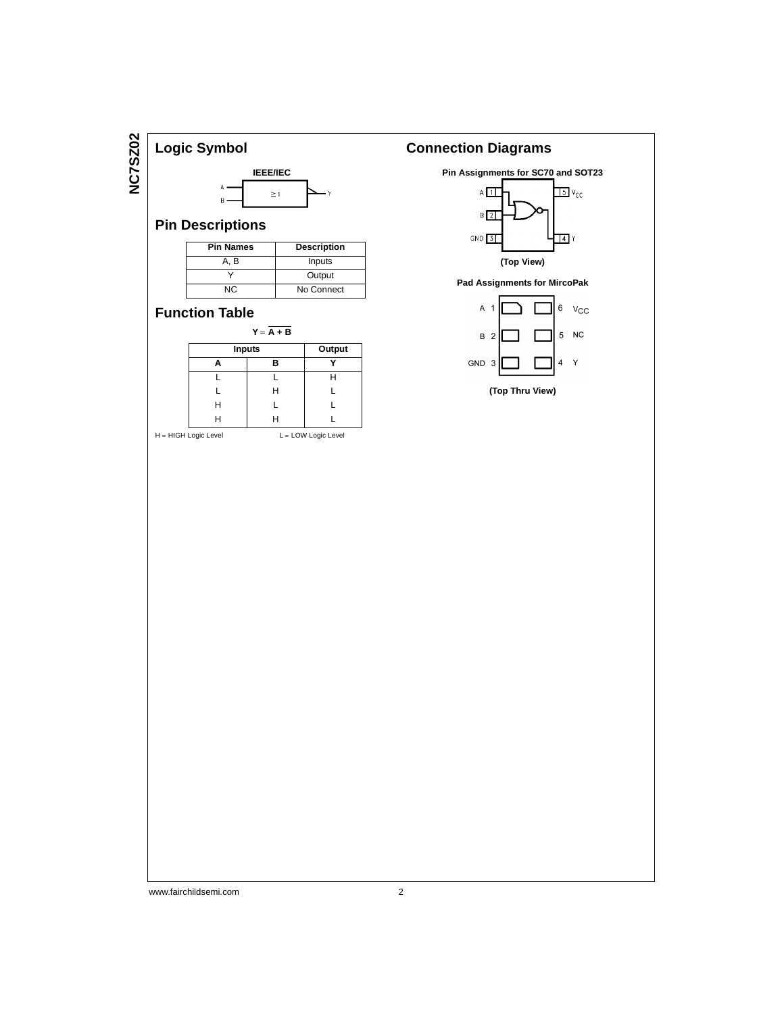**NC7SZ02 NC7SZ02**



## **Pin Descriptions**

| <b>Pin Names</b> | <b>Description</b> |
|------------------|--------------------|
| A. B             | Inputs             |
|                  | Output             |
| NC.              | No Connect         |

## **Function Table**

| $Y = A + B$   |        |   |  |  |  |  |  |  |
|---------------|--------|---|--|--|--|--|--|--|
| <b>Inputs</b> | Output |   |  |  |  |  |  |  |
|               | в      |   |  |  |  |  |  |  |
|               |        | н |  |  |  |  |  |  |
|               | Н      |   |  |  |  |  |  |  |
| н             |        |   |  |  |  |  |  |  |
| Н             | н      |   |  |  |  |  |  |  |
|               |        |   |  |  |  |  |  |  |

```
\mathsf{H} = \mathsf{HIGH}\ \mathsf{Logic}\ \mathsf{Level} \qquad \qquad \mathsf{L} = \mathsf{LOW}\ \mathsf{Logic}\ \mathsf{Level}
```
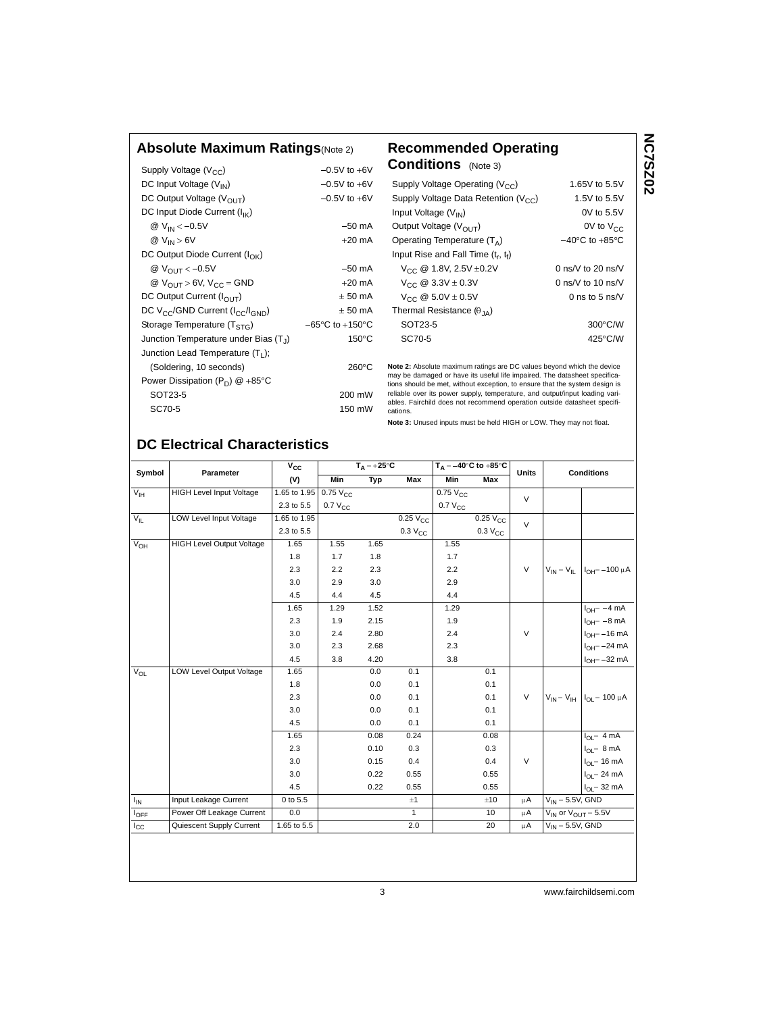#### **Absolute Maximum Ratings**(Note 2) **Recommended Operating**

#### Supply Voltage  $(V_{CC})$  -0.5V to +6V<br>DC Input Voltage  $(V_{IN})$  -0.5V to +6V DC Input Voltage  $(V_{IN})$  -0.5V to +6V<br>DC Output Voltage  $(V_{OUIT})$  -0.5V to +6V DC Output Voltage (V<sub>OUT</sub>) DC Input Diode Current (I<sub>IK</sub>) @  $V_{IN} < -0.5V$  -50 mA  $\omega$  V<sub>IN</sub> > 6V + 20 mA DC Output Diode Current (I<sub>OK</sub>)  $@V_{OUT} < -0.5V$  -50 mA  $\omega$  V<sub>OUT</sub> > 6V, V<sub>CC</sub> = GND  $+20$  mA DC Output Current  $(I_{\text{OUT}})$   $\pm 50 \text{ mA}$  $DC V_{CC}/GND$  Current ( $I_{CC}/I_{GND}$ )  $\pm 50$  mA Storage Temperature (T<sub>STG</sub>) -65°C to +150°C<br>Junction Temperature under Bias (T<sub>i</sub>) 150°C Junction Temperature under Bias  $(T_1)$ Junction Lead Temperature (T<sub>L</sub>); (Soldering, 10 seconds) 260°C Power Dissipation ( $P_D$ ) @ +85°C SOT23-5 200 mW SC70-5 150 mW

# **Conditions** (Note 3)

| Supply Voltage Operating ( $V_{CC}$ )            | 1.65V to 5.5V                      |  |  |  |  |
|--------------------------------------------------|------------------------------------|--|--|--|--|
| Supply Voltage Data Retention (V <sub>CC</sub> ) | 1.5V to 5.5V                       |  |  |  |  |
| Input Voltage $(V_{IN})$                         | 0V to 5.5V                         |  |  |  |  |
| Output Voltage $(V_{\text{OUT}})$                | 0V to $V_{CC}$                     |  |  |  |  |
| Operating Temperature $(T_A)$                    | $-40^{\circ}$ C to $+85^{\circ}$ C |  |  |  |  |
| Input Rise and Fall Time $(t_{r}, t_{f})$        |                                    |  |  |  |  |
| $V_{CC}$ @ 1.8V, 2.5V $\pm$ 0.2V                 | 0 ns/V to 20 ns/V                  |  |  |  |  |
| $V_{CC}$ @ 3.3V $\pm$ 0.3V                       | 0 ns/V to 10 ns/V                  |  |  |  |  |
| $V_{CC}$ @ 5.0V $\pm$ 0.5V                       | 0 ns to 5 ns/ $V$                  |  |  |  |  |
| Thermal Resistance $(\theta_{14})$               |                                    |  |  |  |  |
| SOT23-5                                          | 300°C/W                            |  |  |  |  |
| SC70-5                                           | 425°C/W                            |  |  |  |  |
|                                                  |                                    |  |  |  |  |

**Note 2:** Absolute maximum ratings are DC values beyond which the device may be damaged or have its useful life impaired. The datasheet specifications should be met, without exception, to ensure that the system design is reliable over its power supply, temperature, and output/input loading vari-ables. Fairchild does not recommend operation outside datasheet specifications.

**Note 3:** Unused inputs must be held HIGH or LOW. They may not float.

## **DC Electrical Characteristics**

| Symbol          | Parameter                        | $T_A = +25^{\circ}C$<br>$V_{CC}$ |                                 |      | $T_A = -40^\circ C$ to $+85^\circ C$ |                                   | <b>Units</b>    | <b>Conditions</b> |                               |                                         |
|-----------------|----------------------------------|----------------------------------|---------------------------------|------|--------------------------------------|-----------------------------------|-----------------|-------------------|-------------------------------|-----------------------------------------|
|                 |                                  | (V)                              | Min                             | Typ  | Max                                  | <b>Min</b>                        | Max             |                   |                               |                                         |
| V <sub>IH</sub> | <b>HIGH Level Input Voltage</b>  |                                  | 1.65 to 1.95<br>$0.75$ $V_{CC}$ |      |                                      | $\overline{0.75}$ V <sub>CC</sub> |                 | $\vee$            |                               |                                         |
|                 |                                  | 2.3 to 5.5                       | $0.7 V_{CC}$                    |      |                                      | $0.7 V_{CC}$                      |                 |                   |                               |                                         |
| $V_{IL}$        | LOW Level Input Voltage          | 1.65 to 1.95                     |                                 |      | $0.25V_{\rm CC}$                     |                                   | $0.25$ $V_{CC}$ | $\vee$            |                               |                                         |
|                 |                                  | 2.3 to 5.5                       |                                 |      | 0.3 V <sub>CC</sub>                  |                                   | $0.3 V_{CC}$    |                   |                               |                                         |
| $V_{OH}$        | <b>HIGH Level Output Voltage</b> | 1.65                             | 1.55                            | 1.65 |                                      | 1.55                              |                 |                   |                               |                                         |
|                 |                                  | 1.8                              | 1.7                             | 1.8  |                                      | 1.7                               |                 |                   |                               |                                         |
|                 |                                  | 2.3                              | 2.2                             | 2.3  |                                      | 2.2                               |                 | $\vee$            |                               | $V_{IN} = V_{IL}$ $I_{OH} = -100 \mu A$ |
|                 |                                  | 3.0                              | 2.9                             | 3.0  |                                      | 2.9                               |                 |                   |                               |                                         |
|                 |                                  | 4.5                              | 4.4                             | 4.5  |                                      | 4.4                               |                 |                   |                               |                                         |
|                 |                                  | 1.65                             | 1.29                            | 1.52 |                                      | 1.29                              |                 |                   |                               | $I_{OH} = -4 mA$                        |
|                 |                                  | 2.3                              | 1.9                             | 2.15 |                                      | 1.9                               |                 |                   |                               | $I_{OH} = -8$ mA                        |
|                 |                                  | 3.0                              | 2.4                             | 2.80 |                                      | 2.4                               |                 | $\vee$            |                               | $I_{OH} = -16$ mA                       |
|                 |                                  | 3.0                              | 2.3                             | 2.68 |                                      | 2.3                               |                 |                   |                               | $I_{OH} = -24$ mA                       |
|                 |                                  | 4.5                              | 3.8                             | 4.20 |                                      | 3.8                               |                 |                   |                               | $I_{OH} = -32$ mA                       |
| V <sub>OL</sub> | LOW Level Output Voltage         | 1.65                             |                                 | 0.0  | 0.1                                  |                                   | 0.1             |                   |                               |                                         |
|                 |                                  | 1.8                              |                                 | 0.0  | 0.1                                  |                                   | 0.1             |                   |                               |                                         |
|                 |                                  | 2.3                              |                                 | 0.0  | 0.1                                  |                                   | 0.1             | $\vee$            |                               | $V_{IN} = V_{IH}$ $I_{OL} = 100 \mu A$  |
|                 |                                  | 3.0                              |                                 | 0.0  | 0.1                                  |                                   | 0.1             |                   |                               |                                         |
|                 |                                  | 4.5                              |                                 | 0.0  | 0.1                                  |                                   | 0.1             |                   |                               |                                         |
|                 |                                  | 1.65                             |                                 | 0.08 | 0.24                                 |                                   | 0.08            |                   |                               | $I_{OL} = 4 mA$                         |
|                 |                                  | 2.3                              |                                 | 0.10 | 0.3                                  |                                   | 0.3             |                   |                               | $I_{OL} = 8 mA$                         |
|                 |                                  | 3.0                              |                                 | 0.15 | 0.4                                  |                                   | 0.4             | $\vee$            |                               | $I_{OL}$ = 16 mA                        |
|                 |                                  | 3.0                              |                                 | 0.22 | 0.55                                 |                                   | 0.55            |                   |                               | $I_{OL} = 24$ mA                        |
|                 |                                  | 4.5                              |                                 | 0.22 | 0.55                                 |                                   | 0.55            |                   |                               | $I_{OL}$ = 32 mA                        |
| $I_{IN}$        | Input Leakage Current            | 0 to 5.5                         |                                 |      | ±1                                   |                                   | ±10             | μA                | $V_{IN}$ = 5.5V, GND          |                                         |
| $I_{OFF}$       | Power Off Leakage Current        | 0.0                              |                                 |      | $\mathbf{1}$                         |                                   | 10              | μA                | $V_{IN}$ or $V_{OUIT} = 5.5V$ |                                         |
| $I_{\rm CC}$    | Quiescent Supply Current         | 1.65 to 5.5                      |                                 |      | 2.0                                  |                                   | 20              | μA                | $V_{IN} = 5.5V$ , GND         |                                         |
|                 |                                  |                                  |                                 |      |                                      |                                   |                 |                   |                               |                                         |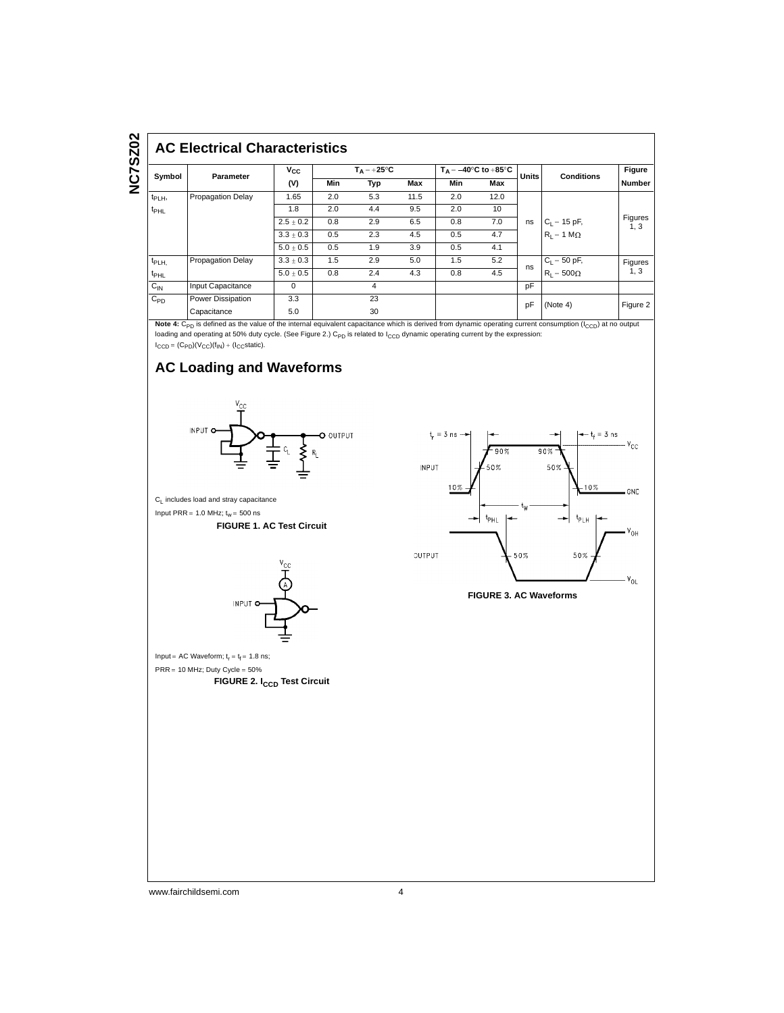#### **AC Electrical Characteristics**

| Symbol           | <b>Parameter</b>         | Vcc           | $T_{\Delta} = +25^{\circ}C$ |     |      | $T_A = -40^\circ \text{C}$ to $+85^\circ \text{C}$ |      |              |                   | Figure                 |
|------------------|--------------------------|---------------|-----------------------------|-----|------|----------------------------------------------------|------|--------------|-------------------|------------------------|
|                  |                          | (V)           | Min                         | Typ | Max  | Min                                                | Max  | <b>Units</b> | <b>Conditions</b> | <b>Number</b>          |
| $t_{PLH}$        | <b>Propagation Delay</b> | 1.65          | 2.0                         | 5.3 | 11.5 | 2.0                                                | 12.0 |              |                   |                        |
| $t_{\text{PHL}}$ |                          | 1.8           | 2.0                         | 4.4 | 9.5  | 2.0                                                | 10   |              |                   | <b>Figures</b><br>1, 3 |
|                  |                          | $2.5 \pm 0.2$ | 0.8                         | 2.9 | 6.5  | 0.8                                                | 7.0  | ns           | $C_L = 15$ pF,    |                        |
|                  |                          | $3.3 \pm 0.3$ | 0.5                         | 2.3 | 4.5  | 0.5                                                | 4.7  |              | $R_1 = 1 M\Omega$ |                        |
|                  |                          | $5.0 \pm 0.5$ | 0.5                         | 1.9 | 3.9  | 0.5                                                | 4.1  |              |                   |                        |
| t <sub>PLH</sub> | Propagation Delay        | $3.3 \pm 0.3$ | 1.5                         | 2.9 | 5.0  | 1.5                                                | 5.2  | ns           | $C_{L}$ = 50 pF,  | <b>Figures</b>         |
| t <sub>PHL</sub> |                          | $5.0 \pm 0.5$ | 0.8                         | 2.4 | 4.3  | 0.8                                                | 4.5  |              | $R_1 = 500\Omega$ | 1, 3                   |
| $C_{\text{IN}}$  | Input Capacitance        | 0             |                             | 4   |      |                                                    |      | pF           |                   |                        |
| $C_{PD}$         | Power Dissipation        | 3.3           |                             | 23  |      |                                                    |      | pF           | (Note 4)          | Figure 2               |
|                  | Capacitance              | 5.0           |                             | 30  |      |                                                    |      |              |                   |                        |

Note 4: C<sub>PD</sub> is defined as the value of the internal equivalent capacitance which is derived from dynamic operating current consumption (I<sub>CCD</sub>) at no output loading and operating at 50% duty cycle. (See Figure 2.)  $C_{PD}$  is related to  $I_{CCD}$  dynamic operating current by the expression:  $I_{CCD} = (C_{PD})(V_{CC})(f_{IN}) + (I_{CC}static).$ 

## **AC Loading and Waveforms**



C<sub>L</sub> includes load and stray capacitance Input PRR =  $1.0$  MHz;  $t_w = 500$  ns

#### **FIGURE 1. AC Test Circuit**



Input = AC Waveform;  $t_f = t_f = 1.8$  ns;  $PRR = 10$  MHz; Duty Cycle =  $50\%$ **FIGURE 2. I<sub>CCD</sub> Test Circuit** 



**FIGURE 3. AC Waveforms**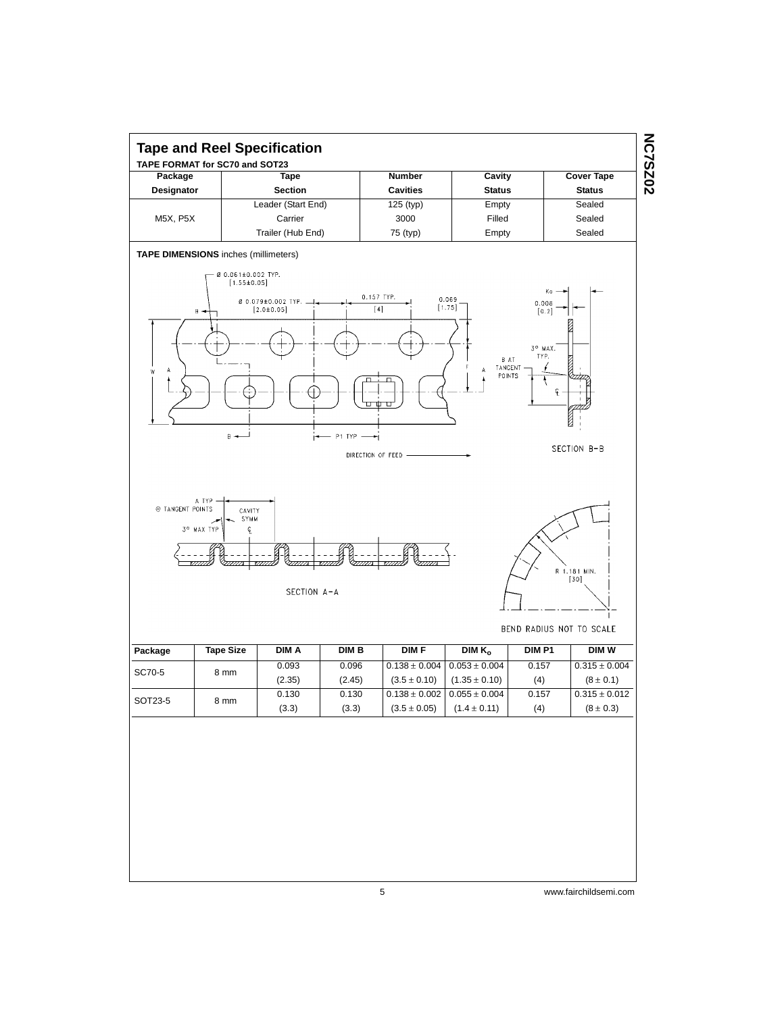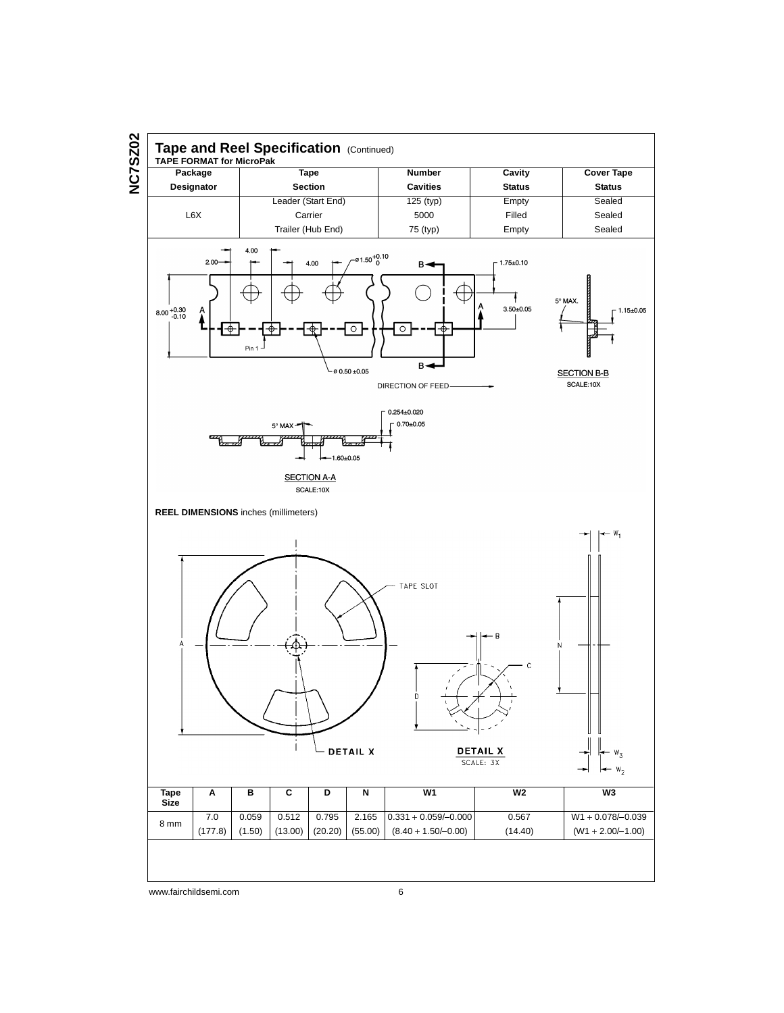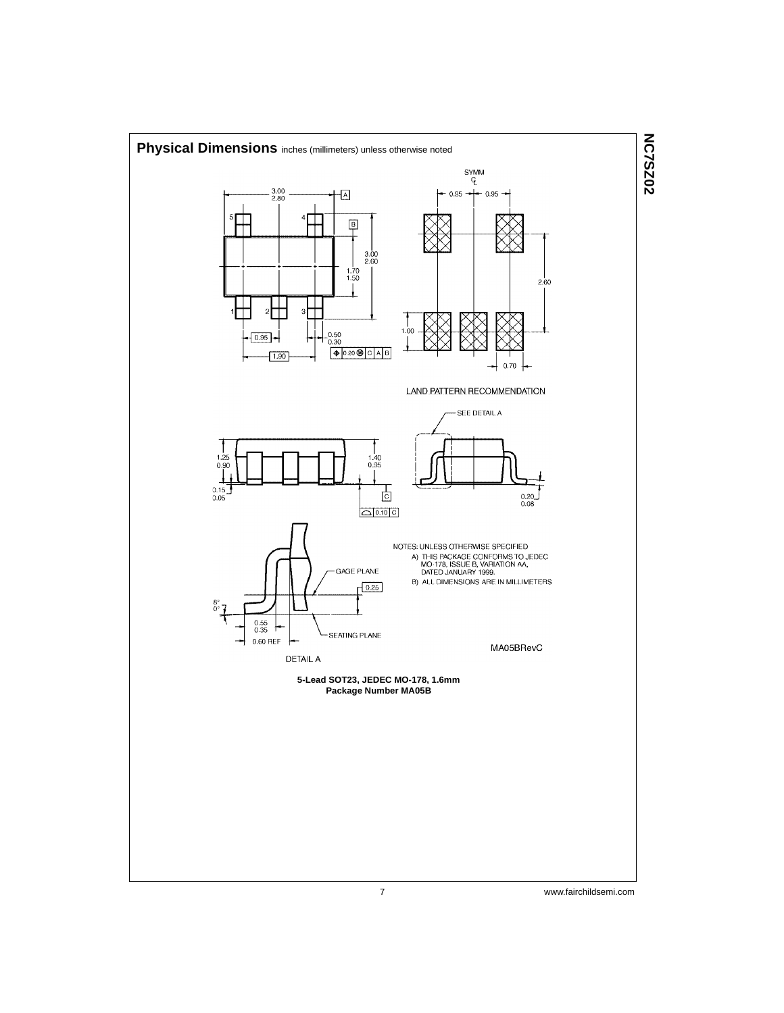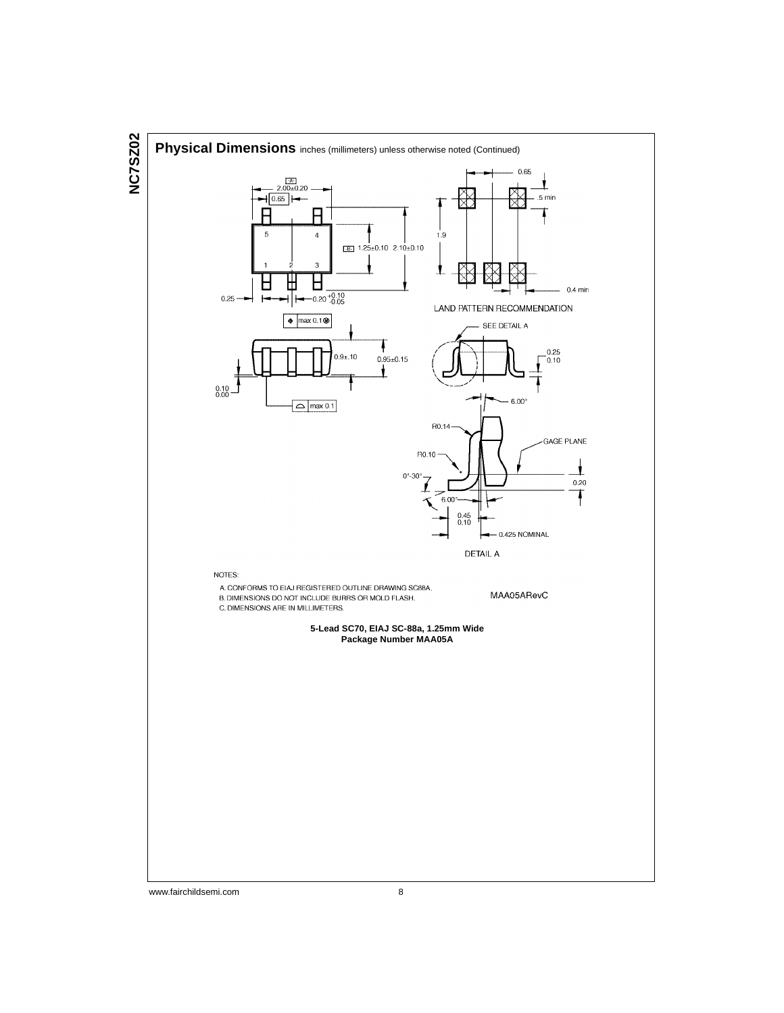